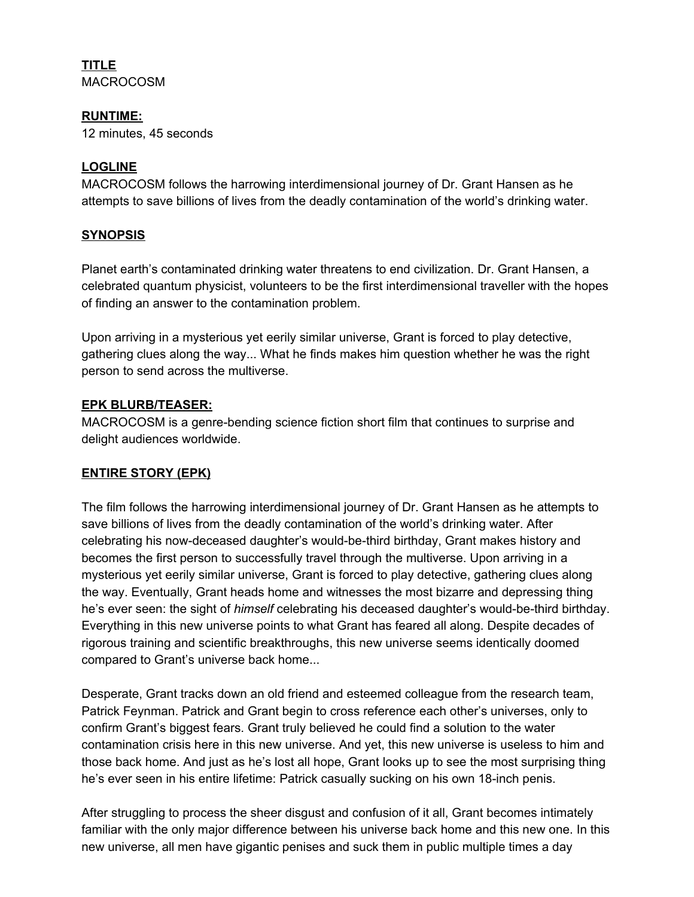#### **TITLE** MACROCOSM

### **RUNTIME:**

12 minutes, 45 seconds

## **LOGLINE**

MACROCOSM follows the harrowing interdimensional journey of Dr. Grant Hansen as he attempts to save billions of lives from the deadly contamination of the world's drinking water.

## **SYNOPSIS**

Planet earth's contaminated drinking water threatens to end civilization. Dr. Grant Hansen, a celebrated quantum physicist, volunteers to be the first interdimensional traveller with the hopes of finding an answer to the contamination problem.

Upon arriving in a mysterious yet eerily similar universe, Grant is forced to play detective, gathering clues along the way... What he finds makes him question whether he was the right person to send across the multiverse.

## **EPK BLURB/TEASER:**

MACROCOSM is a genre-bending science fiction short film that continues to surprise and delight audiences worldwide.

# **ENTIRE STORY (EPK)**

The film follows the harrowing interdimensional journey of Dr. Grant Hansen as he attempts to save billions of lives from the deadly contamination of the world's drinking water. After celebrating his now-deceased daughter's would-be-third birthday, Grant makes history and becomes the first person to successfully travel through the multiverse. Upon arriving in a mysterious yet eerily similar universe, Grant is forced to play detective, gathering clues along the way. Eventually, Grant heads home and witnesses the most bizarre and depressing thing he's ever seen: the sight of *himself* celebrating his deceased daughter's would-be-third birthday. Everything in this new universe points to what Grant has feared all along. Despite decades of rigorous training and scientific breakthroughs, this new universe seems identically doomed compared to Grant's universe back home...

Desperate, Grant tracks down an old friend and esteemed colleague from the research team, Patrick Feynman. Patrick and Grant begin to cross reference each other's universes, only to confirm Grant's biggest fears. Grant truly believed he could find a solution to the water contamination crisis here in this new universe. And yet, this new universe is useless to him and those back home. And just as he's lost all hope, Grant looks up to see the most surprising thing he's ever seen in his entire lifetime: Patrick casually sucking on his own 18-inch penis.

After struggling to process the sheer disgust and confusion of it all, Grant becomes intimately familiar with the only major difference between his universe back home and this new one. In this new universe, all men have gigantic penises and suck them in public multiple times a day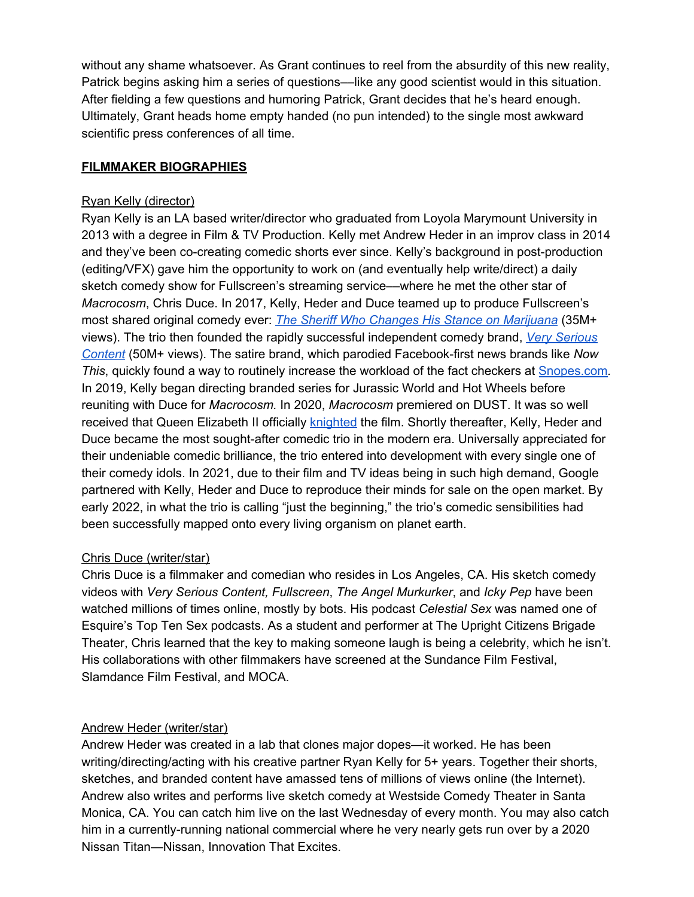without any shame whatsoever. As Grant continues to reel from the absurdity of this new reality, Patrick begins asking him a series of questions—like any good scientist would in this situation. After fielding a few questions and humoring Patrick, Grant decides that he's heard enough. Ultimately, Grant heads home empty handed (no pun intended) to the single most awkward scientific press conferences of all time.

#### **FILMMAKER BIOGRAPHIES**

#### Ryan Kelly (director)

Ryan Kelly is an LA based writer/director who graduated from Loyola Marymount University in 2013 with a degree in Film & TV Production. Kelly met Andrew Heder in an improv class in 2014 and they've been co-creating comedic shorts ever since. Kelly's background in post-production (editing/VFX) gave him the opportunity to work on (and eventually help write/direct) a daily sketch comedy show for Fullscreen's streaming service––where he met the other star of *Macrocosm*, Chris Duce. In 2017, Kelly, Heder and Duce teamed up to produce Fullscreen's most shared original comedy ever: *The Sheriff Who Changes His Stance on [Marijuana](https://www.facebook.com/watch/?v=1610768262300209&external_log_id=03db6ea05b6b0b247705f5d35780d9fe&q=sheriff%20smokes%20weed)* (35M+ views). The trio then founded the rapidly successful independent comedy brand, *Very [Serious](https://www.facebook.com/watch/VerySeriousContent/) [Content](https://www.facebook.com/watch/VerySeriousContent/)* (50M+ views). The satire brand, which parodied Facebook-first news brands like *Now This*, quickly found a way to routinely increase the workload of the fact checkers at [Snopes.com](https://www.snopes.com/fact-check/jeff-sessions-marijuana-rock-band/)*.* In 2019, Kelly began directing branded series for Jurassic World and Hot Wheels before reuniting with Duce for *Macrocosm.* In 2020, *Macrocosm* premiered on DUST. It was so well received that Queen Elizabeth II officially [knighted](https://www.seewhatryankellydoes.com/press) the film. Shortly thereafter, Kelly, Heder and Duce became the most sought-after comedic trio in the modern era. Universally appreciated for their undeniable comedic brilliance, the trio entered into development with every single one of their comedy idols. In 2021, due to their film and TV ideas being in such high demand, Google partnered with Kelly, Heder and Duce to reproduce their minds for sale on the open market. By early 2022, in what the trio is calling "just the beginning," the trio's comedic sensibilities had been successfully mapped onto every living organism on planet earth.

#### Chris Duce (writer/star)

Chris Duce is a filmmaker and comedian who resides in Los Angeles, CA. His sketch comedy videos with *Very Serious Content, Fullscreen*, *The Angel Murkurker*, and *Icky Pep* have been watched millions of times online, mostly by bots. His podcast *Celestial Sex* was named one of Esquire's Top Ten Sex podcasts. As a student and performer at The Upright Citizens Brigade Theater, Chris learned that the key to making someone laugh is being a celebrity, which he isn't. His collaborations with other filmmakers have screened at the Sundance Film Festival, Slamdance Film Festival, and MOCA.

#### Andrew Heder (writer/star)

Andrew Heder was created in a lab that clones major dopes—it worked. He has been writing/directing/acting with his creative partner Ryan Kelly for 5+ years. Together their shorts, sketches, and branded content have amassed tens of millions of views online (the Internet). Andrew also writes and performs live sketch comedy at Westside Comedy Theater in Santa Monica, CA. You can catch him live on the last Wednesday of every month. You may also catch him in a currently-running national commercial where he very nearly gets run over by a 2020 Nissan Titan—Nissan, Innovation That Excites.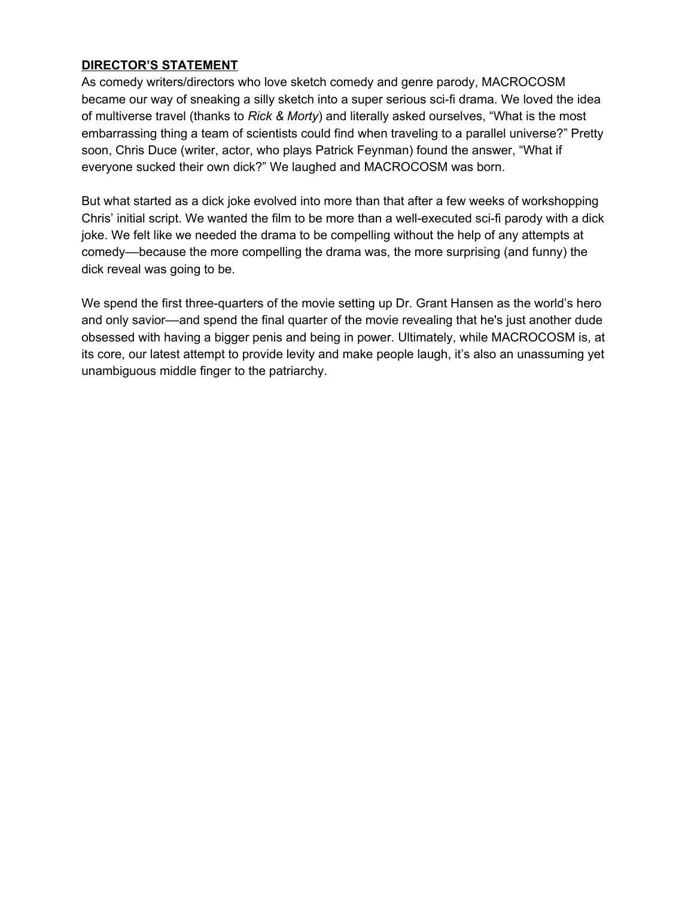## **DIRECTOR'S STATEMENT**

As comedy writers/directors who love sketch comedy and genre parody, MACROCOSM became our way of sneaking a silly sketch into a super serious sci-fi drama. We loved the idea of multiverse travel (thanks to *Rick & Morty*) and literally asked ourselves, "What is the most embarrassing thing a team of scientists could find when traveling to a parallel universe?" Pretty soon, Chris Duce (writer, actor, who plays Patrick Feynman) found the answer, "What if everyone sucked their own dick?" We laughed and MACROCOSM was born.

But what started as a dick joke evolved into more than that after a few weeks of workshopping Chris' initial script. We wanted the film to be more than a well-executed sci-fi parody with a dick joke. We felt like we needed the drama to be compelling without the help of any attempts at comedy––because the more compelling the drama was, the more surprising (and funny) the dick reveal was going to be.

We spend the first three-quarters of the movie setting up Dr. Grant Hansen as the world's hero and only savior––and spend the final quarter of the movie revealing that he's just another dude obsessed with having a bigger penis and being in power. Ultimately, while MACROCOSM is, at its core, our latest attempt to provide levity and make people laugh, it's also an unassuming yet unambiguous middle finger to the patriarchy.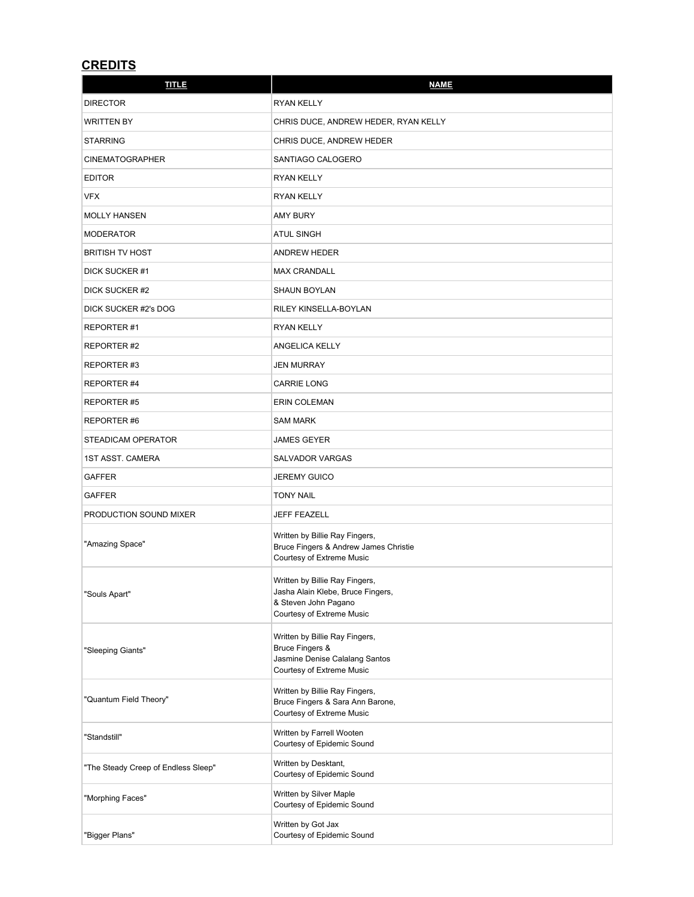# **CREDITS**

| <b>TITLE</b>                        | <b>NAME</b>                                                                                                              |
|-------------------------------------|--------------------------------------------------------------------------------------------------------------------------|
| <b>DIRECTOR</b>                     | <b>RYAN KELLY</b>                                                                                                        |
| <b>WRITTEN BY</b>                   | CHRIS DUCE, ANDREW HEDER, RYAN KELLY                                                                                     |
| <b>STARRING</b>                     | CHRIS DUCE, ANDREW HEDER                                                                                                 |
| <b>CINEMATOGRAPHER</b>              | SANTIAGO CALOGERO                                                                                                        |
| <b>EDITOR</b>                       | <b>RYAN KELLY</b>                                                                                                        |
| <b>VFX</b>                          | <b>RYAN KELLY</b>                                                                                                        |
| <b>MOLLY HANSEN</b>                 | AMY BURY                                                                                                                 |
| <b>MODERATOR</b>                    | <b>ATUL SINGH</b>                                                                                                        |
| <b>BRITISH TV HOST</b>              | ANDREW HEDER                                                                                                             |
| DICK SUCKER #1                      | <b>MAX CRANDALL</b>                                                                                                      |
| DICK SUCKER #2                      | <b>SHAUN BOYLAN</b>                                                                                                      |
| DICK SUCKER #2's DOG                | RILEY KINSELLA-BOYLAN                                                                                                    |
| REPORTER#1                          | <b>RYAN KELLY</b>                                                                                                        |
| REPORTER#2                          | ANGELICA KELLY                                                                                                           |
| REPORTER#3                          | JEN MURRAY                                                                                                               |
| REPORTER#4                          | <b>CARRIE LONG</b>                                                                                                       |
| REPORTER#5                          | ERIN COLEMAN                                                                                                             |
| REPORTER#6                          | <b>SAM MARK</b>                                                                                                          |
| STEADICAM OPERATOR                  | JAMES GEYER                                                                                                              |
| <b>1ST ASST. CAMERA</b>             | SALVADOR VARGAS                                                                                                          |
| <b>GAFFER</b>                       | JEREMY GUICO                                                                                                             |
| <b>GAFFER</b>                       | <b>TONY NAIL</b>                                                                                                         |
| PRODUCTION SOUND MIXER              | JEFF FEAZELL                                                                                                             |
| "Amazing Space"                     | Written by Billie Ray Fingers,<br>Bruce Fingers & Andrew James Christie<br>Courtesy of Extreme Music                     |
| "Souls Apart"                       | Written by Billie Ray Fingers,<br>Jasha Alain Klebe, Bruce Fingers,<br>& Steven John Pagano<br>Courtesy of Extreme Music |
| "Sleeping Giants"                   | Written by Billie Ray Fingers,<br>Bruce Fingers &<br>Jasmine Denise Calalang Santos<br>Courtesy of Extreme Music         |
| "Quantum Field Theory"              | Written by Billie Ray Fingers,<br>Bruce Fingers & Sara Ann Barone,<br>Courtesy of Extreme Music                          |
| "Standstill"                        | Written by Farrell Wooten<br>Courtesy of Epidemic Sound                                                                  |
| "The Steady Creep of Endless Sleep" | Written by Desktant,<br>Courtesy of Epidemic Sound                                                                       |
| "Morphing Faces"                    | Written by Silver Maple<br>Courtesy of Epidemic Sound                                                                    |
| "Bigger Plans"                      | Written by Got Jax<br>Courtesy of Epidemic Sound                                                                         |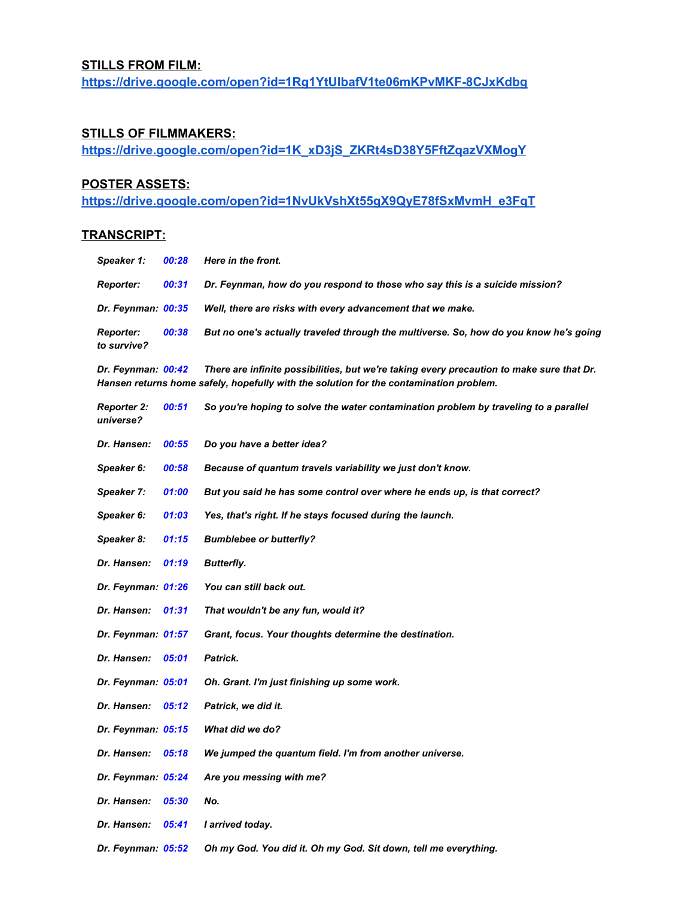#### **STILLS FROM FILM:**

**<https://drive.google.com/open?id=1Rg1YtUIbafV1te06mKPvMKF-8CJxKdbg>**

### **STILLS OF FILMMAKERS:**

**[https://drive.google.com/open?id=1K\\_xD3jS\\_ZKRt4sD38Y5FftZqazVXMogY](https://drive.google.com/open?id=1K_xD3jS_ZKRt4sD38Y5FftZqazVXMogY)**

#### **POSTER ASSETS:**

**[https://drive.google.com/open?id=1NvUkVshXt55gX9QyE78fSxMvmH\\_e3FqT](https://drive.google.com/open?id=1NvUkVshXt55gX9QyE78fSxMvmH_e3FqT)**

#### **TRANSCRIPT:**

| Speaker 1:                      | 00:28 | <b>Here in the front.</b>                                                             |
|---------------------------------|-------|---------------------------------------------------------------------------------------|
| <b>Reporter:</b>                | 00:31 | Dr. Feynman, how do you respond to those who say this is a suicide mission?           |
| <b>Dr. Feynman: 00:35</b>       |       | Well, there are risks with every advancement that we make.                            |
| <b>Reporter:</b><br>to survive? | 00:38 | But no one's actually traveled through the multiverse. So, how do you know he's going |

Dr. Feynman: 00:42 There are infinite possibilities, but we're taking every precaution to make sure that Dr. *Hansen returns home safely, hopefully with the solution for the contamination problem.*

| <b>Reporter 2:</b><br>universe? | 00:51 | So you're hoping to solve the water contamination problem by traveling to a parallel |
|---------------------------------|-------|--------------------------------------------------------------------------------------|
| Dr. Hansen:                     | 00:55 | Do you have a better idea?                                                           |
| Speaker 6:                      | 00:58 | Because of quantum travels variability we just don't know.                           |
| Speaker 7:                      | 01:00 | But you said he has some control over where he ends up, is that correct?             |
| Speaker 6:                      | 01:03 | Yes, that's right. If he stays focused during the launch.                            |
| Speaker 8:                      | 01:15 | <b>Bumblebee or butterfly?</b>                                                       |
| Dr. Hansen:                     | 01:19 | <b>Butterfly.</b>                                                                    |
| Dr. Feynman: 01:26              |       | You can still back out.                                                              |
| Dr. Hansen:                     | 01:31 | That wouldn't be any fun, would it?                                                  |
| Dr. Feynman: 01:57              |       | Grant, focus. Your thoughts determine the destination.                               |
| Dr. Hansen:                     | 05:01 | Patrick.                                                                             |
| Dr. Feynman: 05:01              |       | Oh. Grant. I'm just finishing up some work.                                          |
| Dr. Hansen:                     | 05:12 | Patrick, we did it.                                                                  |
| Dr. Feynman: 05:15              |       | What did we do?                                                                      |
| Dr. Hansen:                     | 05:18 | We jumped the quantum field. I'm from another universe.                              |
| Dr. Feynman: 05:24              |       | Are you messing with me?                                                             |
| Dr. Hansen:                     | 05:30 | No.                                                                                  |
| Dr. Hansen:                     | 05:41 | I arrived today.                                                                     |
| Dr. Feynman: 05:52              |       | Oh my God. You did it. Oh my God. Sit down, tell me everything.                      |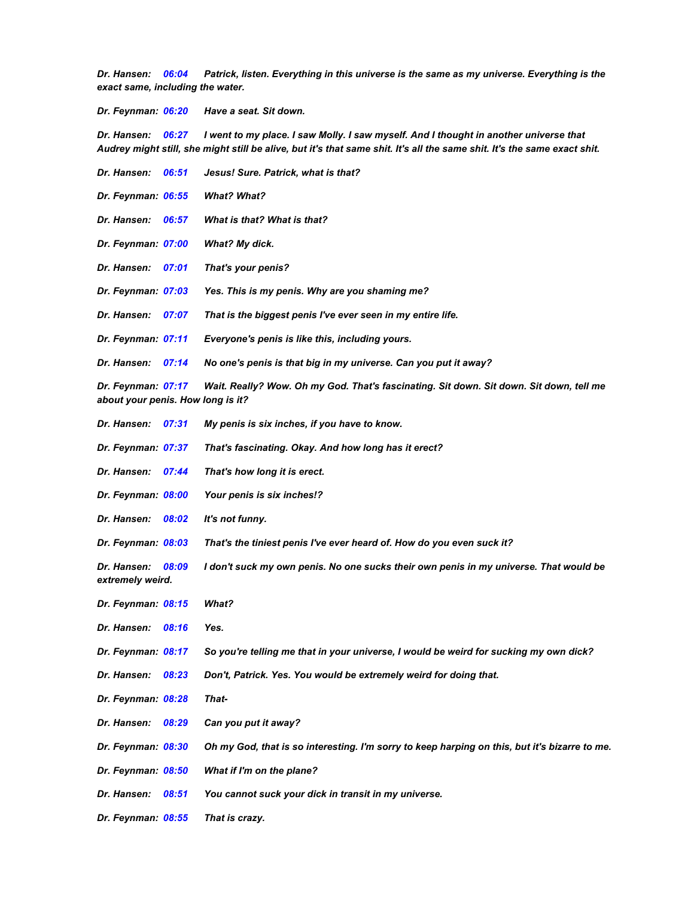Dr. Hansen: 06:04 Patrick, listen. Everything in this universe is the same as my universe. Everything is the *exact same, including the water.*

*Dr. Feynman: 06:20 Have a seat. Sit down.*

Dr. Hansen: 06:27 I went to my place. I saw Molly. I saw myself. And I thought in another universe that Audrey might still, she might still be alive, but it's that same shit. It's all the same shit. It's the same exact shit.

| Dr. Hansen:                                             | 06:51 | Jesus! Sure. Patrick, what is that?                                                           |
|---------------------------------------------------------|-------|-----------------------------------------------------------------------------------------------|
| Dr. Feynman: 06:55                                      |       | <b>What? What?</b>                                                                            |
| Dr. Hansen:                                             | 06:57 | What is that? What is that?                                                                   |
| Dr. Feynman: 07:00                                      |       | What? My dick.                                                                                |
| Dr. Hansen:                                             | 07:01 | That's your penis?                                                                            |
| Dr. Feynman: 07:03                                      |       | Yes. This is my penis. Why are you shaming me?                                                |
| Dr. Hansen:                                             | 07:07 | That is the biggest penis I've ever seen in my entire life.                                   |
| Dr. Feynman: 07:11                                      |       | Everyone's penis is like this, including yours.                                               |
| Dr. Hansen:                                             | 07:14 | No one's penis is that big in my universe. Can you put it away?                               |
| Dr. Feynman: 07:17<br>about your penis. How long is it? |       | Wait. Really? Wow. Oh my God. That's fascinating. Sit down. Sit down. Sit down, tell me       |
| Dr. Hansen:                                             | 07:31 | My penis is six inches, if you have to know.                                                  |
| Dr. Feynman: 07:37                                      |       | That's fascinating. Okay. And how long has it erect?                                          |
| Dr. Hansen:                                             | 07:44 | That's how long it is erect.                                                                  |
| Dr. Feynman: 08:00                                      |       | Your penis is six inches!?                                                                    |
| Dr. Hansen:                                             | 08:02 | It's not funny.                                                                               |
| Dr. Feynman: 08:03                                      |       | That's the tiniest penis I've ever heard of. How do you even suck it?                         |
| Dr. Hansen:<br>extremely weird.                         | 08:09 | I don't suck my own penis. No one sucks their own penis in my universe. That would be         |
| Dr. Feynman: 08:15                                      |       | What?                                                                                         |
| Dr. Hansen:                                             | 08:16 | Yes.                                                                                          |
| Dr. Feynman: 08:17                                      |       | So you're telling me that in your universe, I would be weird for sucking my own dick?         |
| Dr. Hansen: 08:23                                       |       | Don't, Patrick. Yes. You would be extremely weird for doing that.                             |
| Dr. Feynman: 08:28                                      |       | That-                                                                                         |
| Dr. Hansen:                                             | 08:29 | Can you put it away?                                                                          |
| Dr. Feynman: 08:30                                      |       | Oh my God, that is so interesting. I'm sorry to keep harping on this, but it's bizarre to me. |
| Dr. Feynman: 08:50                                      |       | What if I'm on the plane?                                                                     |
| Dr. Hansen:                                             | 08:51 | You cannot suck your dick in transit in my universe.                                          |
| Dr. Feynman: 08:55                                      |       | That is crazy.                                                                                |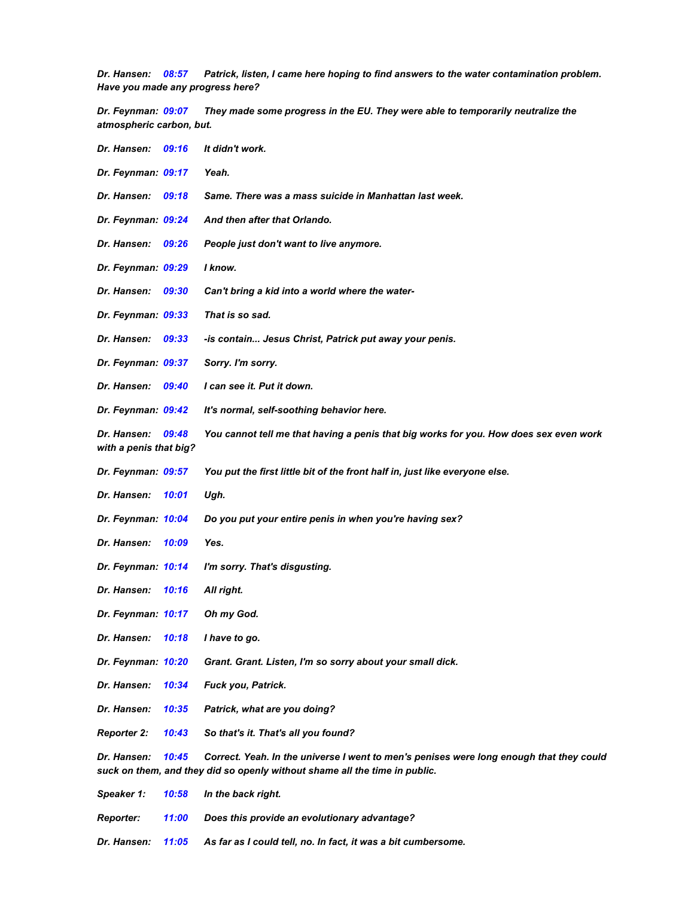*Dr. Hansen: 08:57 Patrick, listen, I came here hoping to find answers to the water contamination problem. Have you made any progress here?*

*Dr. Feynman: 09:07 They made some progress in the EU. They were able to temporarily neutralize the atmospheric carbon, but.*

| Dr. Hansen:                           | 09:16 | It didn't work.                                                                                                                                                       |
|---------------------------------------|-------|-----------------------------------------------------------------------------------------------------------------------------------------------------------------------|
| Dr. Feynman: 09:17                    |       | Yeah.                                                                                                                                                                 |
| Dr. Hansen:                           | 09:18 | Same. There was a mass suicide in Manhattan last week.                                                                                                                |
| Dr. Feynman: 09:24                    |       | And then after that Orlando.                                                                                                                                          |
| Dr. Hansen:                           | 09:26 | People just don't want to live anymore.                                                                                                                               |
| Dr. Feynman: 09:29                    |       | I know.                                                                                                                                                               |
| Dr. Hansen:                           | 09:30 | Can't bring a kid into a world where the water-                                                                                                                       |
| Dr. Feynman: 09:33                    |       | That is so sad.                                                                                                                                                       |
| Dr. Hansen:                           | 09:33 | -is contain Jesus Christ, Patrick put away your penis.                                                                                                                |
| Dr. Feynman: 09:37                    |       | Sorry. I'm sorry.                                                                                                                                                     |
| Dr. Hansen:                           | 09:40 | I can see it. Put it down.                                                                                                                                            |
| Dr. Feynman: 09:42                    |       | It's normal, self-soothing behavior here.                                                                                                                             |
| Dr. Hansen:<br>with a penis that big? | 09:48 | You cannot tell me that having a penis that big works for you. How does sex even work                                                                                 |
| Dr. Feynman: 09:57                    |       | You put the first little bit of the front half in, just like everyone else.                                                                                           |
| Dr. Hansen:                           | 10:01 | Ugh.                                                                                                                                                                  |
| Dr. Feynman: 10:04                    |       | Do you put your entire penis in when you're having sex?                                                                                                               |
| Dr. Hansen:                           | 10:09 | Yes.                                                                                                                                                                  |
| Dr. Feynman: 10:14                    |       | I'm sorry. That's disgusting.                                                                                                                                         |
| Dr. Hansen:                           | 10:16 | All right.                                                                                                                                                            |
| Dr. Feynman: 10:17                    |       | Oh my God.                                                                                                                                                            |
| Dr. Hansen:                           | 10:18 | I have to go.                                                                                                                                                         |
| Dr. Feynman: 10:20                    |       | Grant. Grant. Listen, I'm so sorry about your small dick.                                                                                                             |
| Dr. Hansen:                           | 10:34 | Fuck you, Patrick.                                                                                                                                                    |
| Dr. Hansen:                           | 10:35 | Patrick, what are you doing?                                                                                                                                          |
| <b>Reporter 2:</b>                    | 10:43 | So that's it. That's all you found?                                                                                                                                   |
| Dr. Hansen:                           | 10:45 | Correct. Yeah. In the universe I went to men's penises were long enough that they could<br>suck on them, and they did so openly without shame all the time in public. |
| Speaker 1:                            | 10:58 | In the back right.                                                                                                                                                    |
| <b>Reporter:</b>                      | 11:00 | Does this provide an evolutionary advantage?                                                                                                                          |
| Dr. Hansen:                           | 11:05 | As far as I could tell, no. In fact, it was a bit cumbersome.                                                                                                         |